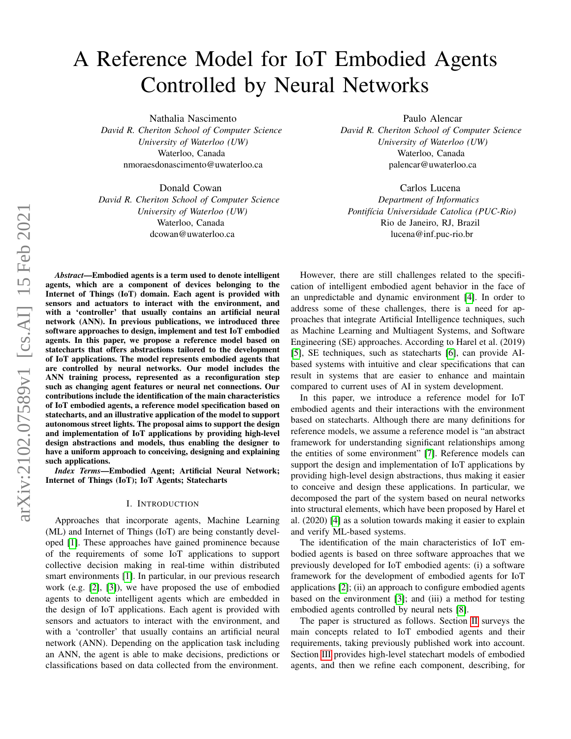# A Reference Model for IoT Embodied Agents Controlled by Neural Networks

Nathalia Nascimento *David R. Cheriton School of Computer Science University of Waterloo (UW)* Waterloo, Canada nmoraesdonascimento@uwaterloo.ca

Donald Cowan *David R. Cheriton School of Computer Science University of Waterloo (UW)* Waterloo, Canada dcowan@uwaterloo.ca

Paulo Alencar *David R. Cheriton School of Computer Science University of Waterloo (UW)* Waterloo, Canada palencar@uwaterloo.ca

Carlos Lucena *Department of Informatics Pontif´ıcia Universidade Catolica (PUC-Rio)* Rio de Janeiro, RJ, Brazil lucena@inf.puc-rio.br

*Abstract*—Embodied agents is a term used to denote intelligent agents, which are a component of devices belonging to the Internet of Things (IoT) domain. Each agent is provided with sensors and actuators to interact with the environment, and with a 'controller' that usually contains an artificial neural network (ANN). In previous publications, we introduced three software approaches to design, implement and test IoT embodied agents. In this paper, we propose a reference model based on statecharts that offers abstractions tailored to the development of IoT applications. The model represents embodied agents that are controlled by neural networks. Our model includes the ANN training process, represented as a reconfiguration step such as changing agent features or neural net connections. Our contributions include the identification of the main characteristics of IoT embodied agents, a reference model specification based on statecharts, and an illustrative application of the model to support autonomous street lights. The proposal aims to support the design and implementation of IoT applications by providing high-level design abstractions and models, thus enabling the designer to have a uniform approach to conceiving, designing and explaining such applications.

*Index Terms*—Embodied Agent; Artificial Neural Network; Internet of Things (IoT); IoT Agents; Statecharts

#### I. INTRODUCTION

Approaches that incorporate agents, Machine Learning (ML) and Internet of Things (IoT) are being constantly developed [\[1\]](#page-5-0). These approaches have gained prominence because of the requirements of some IoT applications to support collective decision making in real-time within distributed smart environments [\[1\]](#page-5-0). In particular, in our previous research work (e.g. [\[2\]](#page-5-1), [\[3\]](#page-5-2)), we have proposed the use of embodied agents to denote intelligent agents which are embedded in the design of IoT applications. Each agent is provided with sensors and actuators to interact with the environment, and with a 'controller' that usually contains an artificial neural network (ANN). Depending on the application task including an ANN, the agent is able to make decisions, predictions or classifications based on data collected from the environment.

However, there are still challenges related to the specification of intelligent embodied agent behavior in the face of an unpredictable and dynamic environment [\[4\]](#page-5-3). In order to address some of these challenges, there is a need for approaches that integrate Artificial Intelligence techniques, such as Machine Learning and Multiagent Systems, and Software Engineering (SE) approaches. According to Harel et al. (2019) [\[5\]](#page-5-4), SE techniques, such as statecharts [\[6\]](#page-5-5), can provide AIbased systems with intuitive and clear specifications that can result in systems that are easier to enhance and maintain compared to current uses of AI in system development.

In this paper, we introduce a reference model for IoT embodied agents and their interactions with the environment based on statecharts. Although there are many definitions for reference models, we assume a reference model is "an abstract framework for understanding significant relationships among the entities of some environment" [\[7\]](#page-5-6). Reference models can support the design and implementation of IoT applications by providing high-level design abstractions, thus making it easier to conceive and design these applications. In particular, we decomposed the part of the system based on neural networks into structural elements, which have been proposed by Harel et al. (2020) [\[4\]](#page-5-3) as a solution towards making it easier to explain and verify ML-based systems.

The identification of the main characteristics of IoT embodied agents is based on three software approaches that we previously developed for IoT embodied agents: (i) a software framework for the development of embodied agents for IoT applications [\[2\]](#page-5-1); (ii) an approach to configure embodied agents based on the environment [\[3\]](#page-5-2); and (iii) a method for testing embodied agents controlled by neural nets [\[8\]](#page-5-7).

The paper is structured as follows. Section [II](#page-1-0) surveys the main concepts related to IoT embodied agents and their requirements, taking previously published work into account. Section [III](#page-1-1) provides high-level statechart models of embodied agents, and then we refine each component, describing, for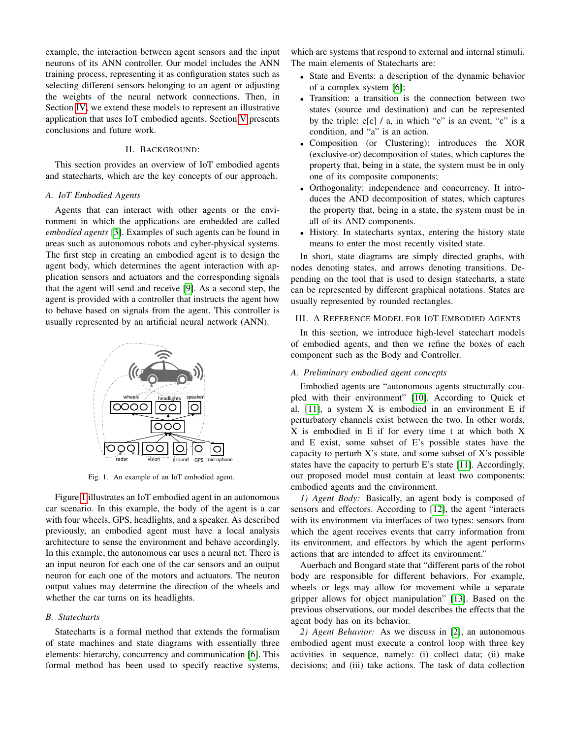example, the interaction between agent sensors and the input neurons of its ANN controller. Our model includes the ANN training process, representing it as configuration states such as selecting different sensors belonging to an agent or adjusting the weights of the neural network connections. Then, in Section [IV,](#page-4-0) we extend these models to represent an illustrative application that uses IoT embodied agents. Section [V](#page-5-8) presents conclusions and future work.

#### II. BACKGROUND:

<span id="page-1-0"></span>This section provides an overview of IoT embodied agents and statecharts, which are the key concepts of our approach.

#### *A. IoT Embodied Agents*

Agents that can interact with other agents or the environment in which the applications are embedded are called *embodied agents* [\[3\]](#page-5-2). Examples of such agents can be found in areas such as autonomous robots and cyber-physical systems. The first step in creating an embodied agent is to design the agent body, which determines the agent interaction with application sensors and actuators and the corresponding signals that the agent will send and receive [\[9\]](#page-5-9). As a second step, the agent is provided with a controller that instructs the agent how to behave based on signals from the agent. This controller is usually represented by an artificial neural network (ANN).



<span id="page-1-2"></span>Fig. 1. An example of an IoT embodied agent.

Figure [1](#page-1-2) illustrates an IoT embodied agent in an autonomous car scenario. In this example, the body of the agent is a car with four wheels, GPS, headlights, and a speaker. As described previously, an embodied agent must have a local analysis architecture to sense the environment and behave accordingly. In this example, the autonomous car uses a neural net. There is an input neuron for each one of the car sensors and an output neuron for each one of the motors and actuators. The neuron output values may determine the direction of the wheels and whether the car turns on its headlights.

#### *B. Statecharts*

Statecharts is a formal method that extends the formalism of state machines and state diagrams with essentially three elements: hierarchy, concurrency and communication [\[6\]](#page-5-5). This formal method has been used to specify reactive systems,

which are systems that respond to external and internal stimuli. The main elements of Statecharts are:

- State and Events: a description of the dynamic behavior of a complex system [\[6\]](#page-5-5);
- Transition: a transition is the connection between two states (source and destination) and can be represented by the triple: e[c] / a, in which "e" is an event, "c" is a condition, and "a" is an action.
- Composition (or Clustering): introduces the XOR (exclusive-or) decomposition of states, which captures the property that, being in a state, the system must be in only one of its composite components;
- Orthogonality: independence and concurrency. It introduces the AND decomposition of states, which captures the property that, being in a state, the system must be in all of its AND components.
- History. In statecharts syntax, entering the history state means to enter the most recently visited state.

In short, state diagrams are simply directed graphs, with nodes denoting states, and arrows denoting transitions. Depending on the tool that is used to design statecharts, a state can be represented by different graphical notations. States are usually represented by rounded rectangles.

#### <span id="page-1-1"></span>III. A REFERENCE MODEL FOR IOT EMBODIED AGENTS

In this section, we introduce high-level statechart models of embodied agents, and then we refine the boxes of each component such as the Body and Controller.

#### <span id="page-1-3"></span>*A. Preliminary embodied agent concepts*

Embodied agents are "autonomous agents structurally coupled with their environment" [\[10\]](#page-5-10). According to Quick et al.  $[11]$ , a system X is embodied in an environment E if perturbatory channels exist between the two. In other words, X is embodied in E if for every time t at which both X and E exist, some subset of E's possible states have the capacity to perturb X's state, and some subset of X's possible states have the capacity to perturb E's state [\[11\]](#page-5-11). Accordingly, our proposed model must contain at least two components: embodied agents and the environment.

*1) Agent Body:* Basically, an agent body is composed of sensors and effectors. According to [\[12\]](#page-5-12), the agent "interacts with its environment via interfaces of two types: sensors from which the agent receives events that carry information from its environment, and effectors by which the agent performs actions that are intended to affect its environment."

Auerbach and Bongard state that "different parts of the robot body are responsible for different behaviors. For example, wheels or legs may allow for movement while a separate gripper allows for object manipulation" [\[13\]](#page-5-13). Based on the previous observations, our model describes the effects that the agent body has on its behavior.

<span id="page-1-4"></span>*2) Agent Behavior:* As we discuss in [\[2\]](#page-5-1), an autonomous embodied agent must execute a control loop with three key activities in sequence, namely: (i) collect data; (ii) make decisions; and (iii) take actions. The task of data collection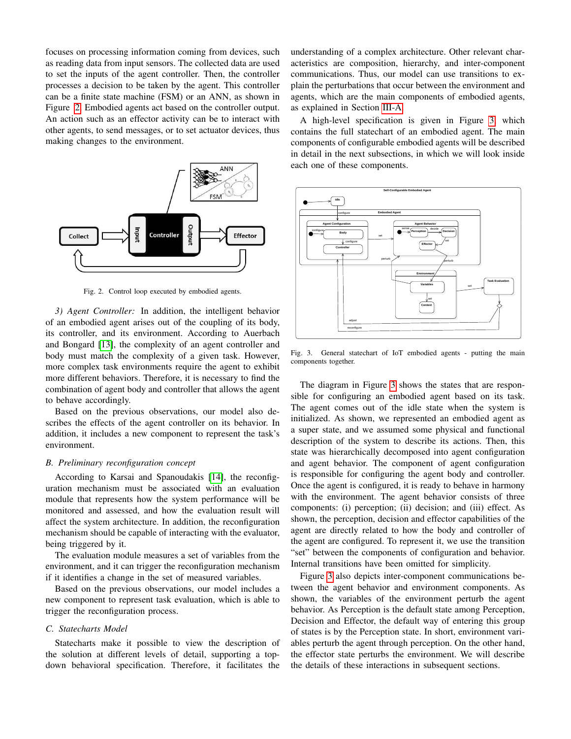focuses on processing information coming from devices, such as reading data from input sensors. The collected data are used to set the inputs of the agent controller. Then, the controller processes a decision to be taken by the agent. This controller can be a finite state machine (FSM) or an ANN, as shown in Figure [2.](#page-2-0) Embodied agents act based on the controller output. An action such as an effector activity can be to interact with other agents, to send messages, or to set actuator devices, thus making changes to the environment.



<span id="page-2-0"></span>Fig. 2. Control loop executed by embodied agents.

3) Agent Controller: In addition, the intelligent behavior of an embodied agent arises out of the coupling of its body, its controller, and its environment. According to Auerbach and Bongard [\[13\]](#page-5-13), the complexity of an agent controller and body must match the complexity of a given task. However, more complex task environments require the agent to exhibit more different behaviors. Therefore, it is necessary to find the combination of agent body and controller that allows the agent to behave accordingly.

Based on the previous observations, our model also describes the effects of the agent controller on its behavior. In addition, it includes a new component to represent the task's environment.

#### *B. Preliminary reconfiguration concept*

According to Karsai and Spanoudakis [\[14\]](#page-5-14), the reconfiguration mechanism must be associated with an evaluation module that represents how the system performance will be monitored and assessed, and how the evaluation result will affect the system architecture. In addition, the reconfiguration mechanism should be capable of interacting with the evaluator, being triggered by it.

The evaluation module measures a set of variables from the environment, and it can trigger the reconfiguration mechanism if it identifies a change in the set of measured variables.

Based on the previous observations, our model includes a new component to represent task evaluation, which is able to trigger the reconfiguration process.

### *C. Statecharts Model*

Statecharts make it possible to view the description of the solution at different levels of detail, supporting a topdown behavioral specification. Therefore, it facilitates the understanding of a complex architecture. Other relevant characteristics are composition, hierarchy, and inter-component communications. Thus, our model can use transitions to explain the perturbations that occur between the environment and agents, which are the main components of embodied agents, as explained in Section [III-A.](#page-1-3)

A high-level specification is given in Figure [3,](#page-2-1) which contains the full statechart of an embodied agent. The main components of configurable embodied agents will be described in detail in the next subsections, in which we will look inside each one of these components.



<span id="page-2-1"></span>Fig. 3. General statechart of IoT embodied agents - putting the main components together.  $U(1, 0)$ UNREGISTERED UNREGISTERED

The diagram in Figure [3](#page-2-1) shows the states that are responsible for configuring an embodied agent based on its task. The agent comes out of the idle state when the system is nitialized. As shown, we represented an embodied agent as a super state, and we assumed some physical and functional description of the system to describe its actions. Then, this state was hierarchically decomposed into agent configuration and agent behavior. The component of agent configuration is responsible for configuring the agent body and controller. Once the agent is configured, it is ready to behave in harmony with the environment. The agent behavior consists of three components: (i) perception; (ii) decision; and (iii) effect. As shown, the perception, decision and effector capabilities of the initialized. As shown, we represented an embodied agent as agent are directly related to how the body and controller of the agent are configured. To represent it, we use the transition "set" between the components of configuration and behavior. Internal transitions have been omitted for simplicity.

Figure [3](#page-2-1) also depicts inter-component communications between the agent behavior and environment components. As shown, the variables of the environment perturb the agent behavior. As Perception is the default state among Perception, Decision and Effector, the default way of entering this group of states is by the Perception state. In short, environment variables perturb the agent through perception. On the other hand, the effector state perturbs the environment. We will describe the details of these interactions in subsequent sections.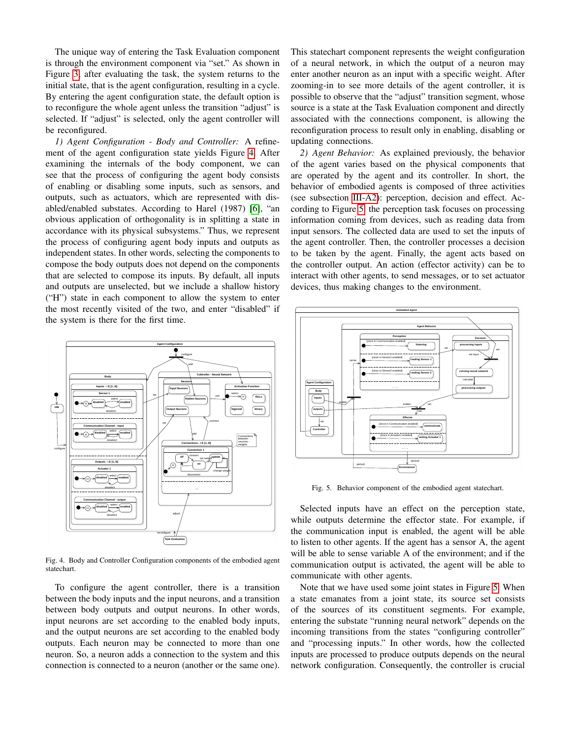The unique way of entering the Task Evaluation component is through the environment component via "set." As shown in Figure [3,](#page-2-1) after evaluating the task, the system returns to the initial state, that is the agent configuration, resulting in a cycle. By entering the agent configuration state, the default option is to reconfigure the whole agent unless the transition "adjust" is selected. If "adjust" is selected, only the agent controller will be reconfigured.

*1) Agent Configuration - Body and Controller:* A refinement of the agent configuration state yields Figure [4.](#page-3-0) After examining the internals of the body component, we can see that the process of configuring the agent body consists of enabling or disabling some inputs, such as sensors, and outputs, such as actuators, which are represented with disabled/enabled substates. According to Harel (1987) [\[6\]](#page-5-5), "an obvious application of orthogonality is in splitting a state in accordance with its physical subsystems." Thus, we represent the process of configuring agent body inputs and outputs as independent states. In other words, selecting the components to compose the body outputs does not depend on the components that are selected to compose its inputs. By default, all inputs and outputs are unselected, but we include a shallow history ("H") state in each component to allow the system to enter the most recently visited of the two, and enter "disabled" if  $\Box$ the system is there for the first time. utputs are stem is t unselec  $\text{here for }$ ed, but he first t  $\overline{\text{vel}}$  inclue e for the first time. e a shal and outputs are unselected, but we include a shallow history nogonality is in sp se its inp uts. By d UNREGISTERED litting a efault, all  $\frac{1}{2}$  tate in inputs StateMachine10::BehaviorStateDiagram



<span id="page-3-0"></span>Fig. 4. Body and Controller Configuration components of the embodied agent statechart.

To configure the agent controller, there is a transition between the body inputs and the input neurons, and a transition between body outputs and output neurons. In other words, input neurons are set according to the enabled body inputs, and the output neurons are set according to the enabled body outputs. Each neuron may be connected to more than one neuron. So, a neuron adds a connection to the system and this connection is connected to a neuron (another or the same one).

This statechart component represents the weight configuration of a neural network, in which the output of a neuron may enter another neuron as an input with a specific weight. After zooming-in to see more details of the agent controller, it is possible to observe that the "adjust" transition segment, whose source is a state at the Task Evaluation component and directly associated with the connections component, is allowing the reconfiguration process to result only in enabling, disabling or updating connections.

<span id="page-3-2"></span>ts interact with other agents, to send messages, or to set actuator ry dev ces, thus making devices, thus making changes to the environment. *2) Agent Behavior:* As explained previously, the behavior of the agent varies based on the physical components that are operated by the agent and its controller. In short, the behavior of embodied agents is composed of three activities (see subsection [III-A2\)](#page-1-4): perception, decision and effect. According to Figure [5,](#page-3-1) the perception task focuses on processing information coming from devices, such as reading data from input sensors. The collected data are used to set the inputs of the agent controller. Then, the controller processes a decision to be taken by the agent. Finally, the agent acts based on the controller output. An action (effector activity) can be to  $\sum_{n=1}^{\infty}$  $\eta$ ith other  $g$  from  $\epsilon$ agents, t Prices, st  $\sum_{n=1}^{\infty}$ ch as rea ssages, o ding data  $\cdot$  to set as from tuator



<span id="page-3-1"></span>Fig. 5. Behavior component of the embodied agent statechart. UNREGISTERED UNREGISTERED UNREGISTERED

Selected while outputs determine the effector state. For example, if the communication input is enabled, the agent will be able to listen to other agents. If the agent has a sensor A, the agent und Will <sup>III</sup> communication output is activated, the agent will be able to be able nputs ha  $\frac{d}{dt}$ ve an  $\epsilon$ will be able to sense variable A of the environment; and if the Select d inputs have a effect n the p rception Selected inputs have an effect on the perception state, communicate with other agents.

Note that we have used some joint states in Figure [5.](#page-3-1) When a state emanates from a joint state, its source set consists of the sources of its constituent segments. For example, entering the substate "running neural network" depends on the incoming transitions from the states "configuring controller" and "processing inputs." In other words, how the collected inputs are processed to produce outputs depends on the neural network configuration. Consequently, the controller is crucial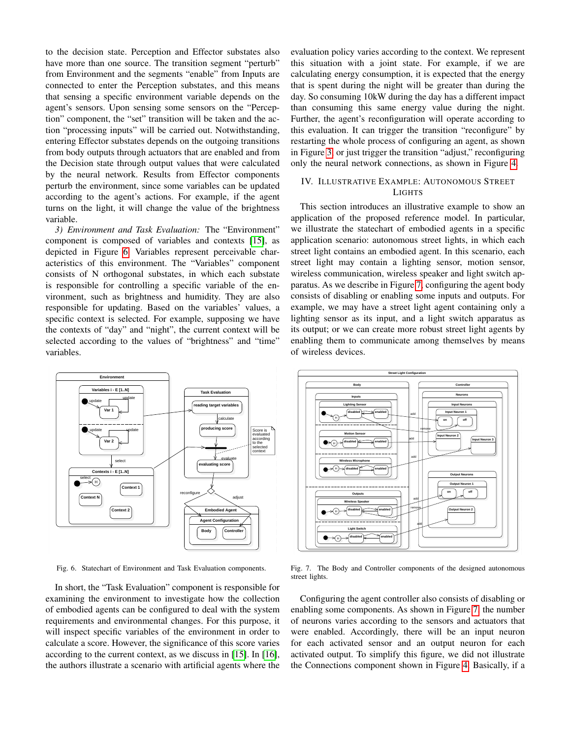to the decision state. Perception and Effector substates also have more than one source. The transition segment "perturb" from Environment and the segments "enable" from Inputs are connected to enter the Perception substates, and this means that sensing a specific environment variable depends on the agent's sensors. Upon sensing some sensors on the "Perception" component, the "set" transition will be taken and the action "processing inputs" will be carried out. Notwithstanding, entering Effector substates depends on the outgoing transitions from body outputs through actuators that are enabled and from the Decision state through output values that were calculated by the neural network. Results from Effector components perturb the environment, since some variables can be updated according to the agent's actions. For example, if the agent turns on the light, it will change the value of the brightness variable. Uni bouy ouipi  $U(0)$  and  $U(0)$ und<br>Untuk disebut di dengan s unbugn actu unant cinco Junent, since U<br>Understanden UIS MAI AIC CH me verieblee e  $\sum$  variables U<br>Undergisteren ICU and ITOM  $\frac{1}{2}$ 11 OC upuancu

3) Environment and Task Evaluation: The "Environment" component is composed of variables and contexts [\[15\]](#page-5-15), as depicted in Figure [6.](#page-4-1) Variables represent perceivable characteristics of this environment. The "Variables" component consists of N orthogonal substates, in which each substate is responsible for controlling a specific variable of the environment, such as brightness and humidity. They are also responsible for updating. Based on the variables' values, a specific context is selected. For example, supposing we have the contexts of "day" and "night", the current context will be selected according to the values of "brightness" and "time" variables. 3) Environme  $\frac{1}{2}$ esponsible for  $\epsilon$ iecteu accord  $U = UT + F$ u unu <mark>iusk</mark> Ev o anviranmant  $\sum_{i=1}^{n}$  $\frac{1}{2}$ ipuating. Dase  $\frac{1}{2}$   $\frac{1}{2}$   $\frac{1}{2}$   $\frac{1}{2}$   $\frac{1}{2}$ ig to the value  $U \cup U$  $u(uuvu, \text{ the }$  $Tho$  Worighla Inc variable una mannany. on the variat  $\frac{1}{2}$ U<sub>U</sub> bilginnes UNREGISTER zhvilonnicht  $v_{\text{component}}$ component  $\frac{100}{100}$ responsible for updating. Based on the variables' values, a  $\frac{1}{2}$ selected according to the values of "brightness" and "time" Under General Statistics of the Contract of the Contract of the Contract of the Contract of the Contract of the Contract of the Contract of the Contract of the Contract of the Contract of the Contract of the Contract of th under Burgereich.<br>Politiciste  $\mathbf{U}$ values of "brie UNREGISTERED tness" and "tim

restarting the whole process of configuring an agent, as shown  $\sum$  $\ln 1$  iguit  $\theta$ , or only the neural network connections, as shown in Figure [4.](#page-3-0) UNE<br>Understanden als der ust uiggel uie i UNREGISTER<br>UNREGISTER ansition aujus U<br>Varian Canada in Figure [3,](#page-2-1) or just trigger the transition "adjust," reconfiguring evaluation policy varies according to the context. We represent this situation with a joint state. For example, if we are calculating energy consumption, it is expected that the energy that is spent during the night will be greater than during the day. So consuming 10kW during the day has a different impact than consuming this same energy value during the night. Further, the agent's reconfiguration will operate according to this evaluation. It can trigger the transition "reconfigure" by

#### <span id="page-4-0"></span>IV. ILLUST RATIVE EXAM LIGHTS LE: AUTONOM IV. ILLUSTRATIVE EXAMPLE: AUTONOMOUS STREET

This section application of the proposed reference model. In particular, un<br>11. illustrata t we musulate t application scenario: autonomous street lights, in which each street light contains an embodied agent. In this scenario, each stroot light m  $\frac{1}{2}$ wireless communication, wireless speaker and light switch ap-paratus. As we describe in Figure [7,](#page-4-2) configuring the agent body o consists of disabling or enabling some inputs and outputs. For UNREGISTERED ER ETTE STREEP ER DE STREEP ER DE STREEP ER DE STREEP ER DE STREEP ER DE STREEP ER DE STREEP ER D CAAIIpic, we i e lighting sensor as its input, and a light switch apparatus as e its output; or we can create more robust street light agents by UNREGISTER<br>Unregisteren Landenberg Unavillig ulull of wireless devices. introduces an  $\frac{1}{2}$  $\mathfrak{c}$  statechart of  $U$  contain a  $1$  $U<sub>1</sub>$  $\frac{1}{1}$ ay nav<del>e</del> a sue UNREGISTERED w communica lustrative exan unkadisd soo emboured ages  $v$  $\sum_{i=1}^{\text{minmax}}$ UNE EIGHT ngin agem co Universität den Englischen<br>UNREGISTERE among unions This section introduces an illustrative example to show an  $\frac{1}{2}$ we illustrate the statechart of embodied agents in a specific notion concor street light may contain a lighting sensor, motion sensor, UNREGISTER a example, we may have a street light agent containing only a UND UNREGISTER<br>Under Jahren und under ' enabling them to communicate among themselves by means  $U$   $\sim$   $\sim$   $\sim$   $\sim$   $\sim$  $\sum_{i=1}^{n}$ UNREGISTERED UNREGISTER EINER EINER EINER EINER EINER EINER EINER EINER EINER EINER EINER EINER EINER EINER EINER EINER EINER EINER EINER EINER EINER EINER EINER EINER EINER EINER EINER EINER EINER EINER EINER EINER EINER EINER EINER E



<span id="page-4-1"></span>Fig. 6. Statechart of Environment and Task Evaluation components. UNREGISTERED  $\frac{11}{5}$ U. Statement of Life UNREGISTERED  $J$ Innein and Task  $L$ ve UNREGISTERED aanon components.

In chart the  $\frac{1}{2}$  $\frac{1}{1}$ xamining the environment to investigate how the collection of embodied agents can be configured to deal with the system requirements and environmental changes. For this purpose, it under der Steinen der Steinen der Steinen der Steinen anter der Steinen anter der Steinen anter der Steinen an<br>Steine der Steinen anter der Steinen anter der Steinen anter der Steinen anter der Steinen anter der Steinen a un mspect spe calculate a score. However, the significance of this score varies real Regulation usk Drumunon UNREGISTERED<br>UP = 1.1 IIIC variables G component is  $\frac{1}{2}$  $\frac{1}{1}$ the environment  $unoncible$  for In short, the "Task Evaluation" component is responsible for  $\Gamma$  P  $\Gamma$   $\Gamma$   $\Gamma$   $\Gamma$   $\Gamma$   $\Gamma$   $\Gamma$ will inspect specific variables of the environment in order to examining the environment to investigate how the collection according to the current context, as we discuss in [\[15\]](#page-5-15). In [\[16\]](#page-5-16), the authors illustrate a scenario with artificial agents where the UNREGISTER<br>UNREGISTER  $\ln \alpha$  $U = 41.6$  GPc  $T = 1.77$  $U(1, \text{ the last } L)$  $\frac{10}{11}$  ... IOIS IIIUSUALE A S UNREGISTER Production component  $\frac{1}{10}$   $\frac{1}{10}$   $\frac{1}{10}$ nano with artific UNREGISTERED u is responsivie i  $\frac{1}{1}$ ai agems where t



<span id="page-4-2"></span>Fig. 7 The Body and Controller components of the designed autonomous street lights. UNREGISTERED UNREGISTERED UNREGISTERED  $\Gamma$ Ig. *I*. IIIC DO UNREGISTER<br>UNREGISTER *y* and Controller cor UNREGISTER STRUCK bolients of the design UNREGISTERED Fig. 7. The Body and Controller components of the designed autonomous

 $\sim$  0  $\sim$ Connecting 1 enabling some components. As shown in Figure [7,](#page-4-2) the number t of neurons varies according to the sensors and actuators that UNREGISTER<br>UNREGISTER were enabled. s for each activated sensor and an output neuron for each UNREGISTERED ne agem contro  $\frac{1}{1}$ Accordingly, UNREGISTERED ler also consist  $\frac{1}{11}$ under de  $\sim$   $\sim$   $\sim$   $\sim$ or disabiling or  $\ddotsc$ were enabled. Accordingly, there will be an input neuron U<sub>NR</sub>egister 1 Configurin activated output. To simplify this figure, we did not illustrate  $\frac{1}{2}$  $U = \text{UL}$ UNREGISTERED the agent contro  $\frac{1}{2}$ is component sir UNREGISTERED er also consists o  $\frac{U_{\text{S}}}{U_{\text{S}}}}$  $\frac{1}{2}$  in Figure 4. 1 UNREGISTERED Configuring the agent controller also consists of disabling or  $\frac{1}{10}$   $\frac{1}{10}$ the Connections component shown in Figure [4.](#page-3-0) Basically, if a